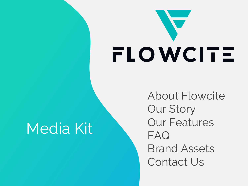# FLOWCITE

# Media Kit

About Flowcite Our Story Our Features FAQ Brand Assets Contact Us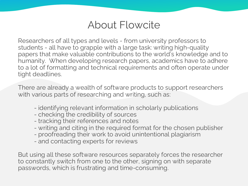# About Flowcite

Researchers of all types and levels - from university professors to students - all have to grapple with a large task: writing high-quality papers that make valuable contributions to the world's knowledge and to humanity. When developing research papers, academics have to adhere to a lot of formatting and technical requirements and often operate under tight deadlines.

There are already a wealth of software products to support researchers with various parts of researching and writing, such as:

- identifying relevant information in scholarly publications
- checking the credibility of sources
- tracking their references and notes
- writing and citing in the required format for the chosen publisher
- proofreading their work to avoid unintentional plagiarism
- and contacting experts for reviews

But using all these software resources separately forces the researcher to constantly switch from one to the other, signing on with separate passwords, which is frustrating and time-consuming.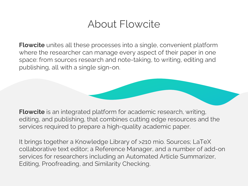# About Flowcite

**Flowcite** unites all these processes into a single, convenient platform where the researcher can manage every aspect of their paper in one space: from sources research and note-taking, to writing, editing and publishing, all with a single sign-on.

**Flowcite** is an integrated platform for academic research, writing, editing, and publishing, that combines cutting edge resources and the services required to prepare a high-quality academic paper.

It brings together a Knowledge Library of >210 mio. Sources; LaTeX collaborative text editor; a Reference Manager, and a number of add-on services for researchers including an Automated Article Summarizer, Editing, Proofreading, and Similarity Checking.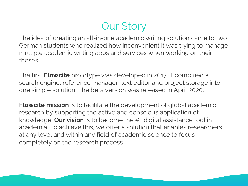# Our Story

The idea of creating an all-in-one academic writing solution came to two German students who realized how inconvenient it was trying to manage multiple academic writing apps and services when working on their theses.

The first **Flowcite** prototype was developed in 2017. It combined a search engine, reference manager, text editor and project storage into one simple solution. The beta version was released in April 2020.

**Flowcite mission** is to facilitate the development of global academic research by supporting the active and conscious application of knowledge. **Our vision** is to become the #1 digital assistance tool in academia. To achieve this, we offer a solution that enables researchers at any level and within any field of academic science to focus completely on the research process.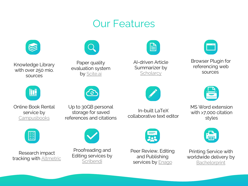# Our Features



Knowledge Library with over 25[0 mio.](https://www.altmetric.com/)  sources



Online Book Rental service by **Campusbooks** 



Research impact tracking with Altmetric



Paper quality evaluation system [by Scite.ai](https://www.scribendi.com/)



Up to 30GB personal storage for saved references and citations



Proofreading and Editing services by Scribendi



AI-driven Article Summarizer by **Scholar[cy](https://www.enago.com/)** 



In-built LaTeX collaborative text editor



Peer Review, Editing and Publishing services by **Enago** 



Browser I referenc sour



MS Word with  $>7,00$  $st<sub>l</sub>$ 



Printing Se worldwide Bachel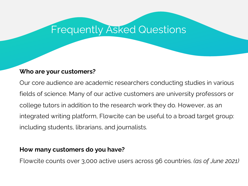# Frequently Asked Questions

### **Who are your customers?**

Our core audience are academic researchers conducting studies in various fields of science. Many of our active customers are university professors or college tutors in addition to the research work they do. However, as an integrated writing platform, Flowcite can be useful to a broad target group: including students, librarians, and journalists.

### **How many customers do you have?**

Flowcite counts over 3,000 active users across 96 countries. *(as of June 2021)*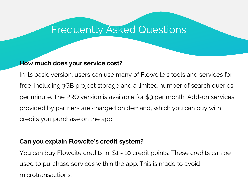## Frequently Asked Questions

### **How much does your service cost?**

In its basic version, users can use many of Flowcite's tools and services for free, including 3GB project storage and a limited number of search queries per minute. The PRO version is available for \$9 per month. Add-on services provided by partners are charged on demand, which you can buy with credits you purchase on the app.

### **Can you explain Flowcite's credit system?**

You can buy Flowcite credits in: \$1 = 10 credit points. These credits can be used to purchase services within the app. This is made to avoid microtransactions.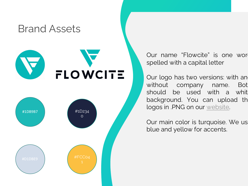# Brand Assets



Our name "Flowcite" spelled with a capital l

Our logo has two vers without company should be used w background. You can logos in .PNG on our  $\underline{w}$ 

Our main color is turq blue and yellow for ac